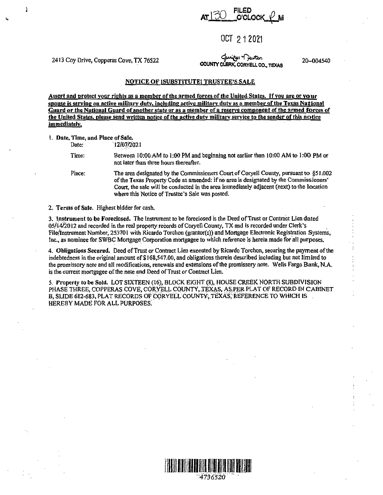$\supset$  FILED AT l *J.J ..* , .o'cLocK.C-M

## OCT 21 2021

2413 Coy Drive, Copperas Cove, TX 76522

Ì

لمعلوم -<br>**COUNTY CLERK, CORYELL CO., TEXAS**<br>محمد COUNTY CLERK, CORYELL CO., TEXAS

20-004540

## NOTICE OF ISUBSTITUTEI TRUSTEE'S SALE

Assert and protect your rights as a member of the armed forces of the United States. If you are or your spouse is serving on active military duty, including active military duty as a member of the Texas National Guard or the National Guard of another state or as a member of a reserve component of the armed forces of the United States, please send written notice of the active duty military service to the sender of this notice immediately.

I. Date, Time, and Place of Sale.

Date: 12/07/2021

Time: Between 10:00 AM to 1:00 PM and beginning not earlier than 10:00 AM to 1:00 PM or not later than-three hours thereafter.

Place: The area designated by the Commissioners Court of Coryell County, pursuant **to** §5 I .002 of the Texas Property Code as amended: if no area is designated by the Commissioners' Court, the sale will be conducted in the area immediately adjacent (next) to the location where this Notice of Trustee's Sale was posted.

2. Terms of Sale. Highest bidder for cash.

3. Instrument to be Foreclosed. The Instrument to be foreclosed is the Deed of Trust or Contract Lien dated 05/14/2012 and recorded in the real property records of Coryell County, TX and is recorded under Clerk's File/Instrument Number, 253701 with Ricardo Torchon (grantor(s)) and Mortgage Electronic Registration Systems, Inc., as nominee for SWBC Mortgage Corporation mortgagee to which reference is herein made for-all purposes.

4. **Obligations** Secured. Deed of Trust or Contract Lien executed by Ricardo Torchon, securing the payment of the indebtedness in the original amount of \$168,547.00, and obligations therein described including but not limited to the promissory note and all modifications, renewals and extensions of the promissory note. Wells Fargo Bank, N.A. is the current mortgagee of the note and Deed of Trust or Contract Lien.

*S.* Property to be Sold, LOT SIXTEEN (16), BLOCK EIGHT (8), HOUSE CREEK NORTH SUBDIVISION PHASE THREE, COPPERAS COVE, CORYELL COUNTY, TEXAS, AS PER PLAT OF RECORD IN CABINET B, SLIDE 682-683, PLAT RECORDS OF CORYELL COUNTY, TEXAS, REFERENCE TO WHICH IS HEREBY MADE FOR ALL PURPOSES.